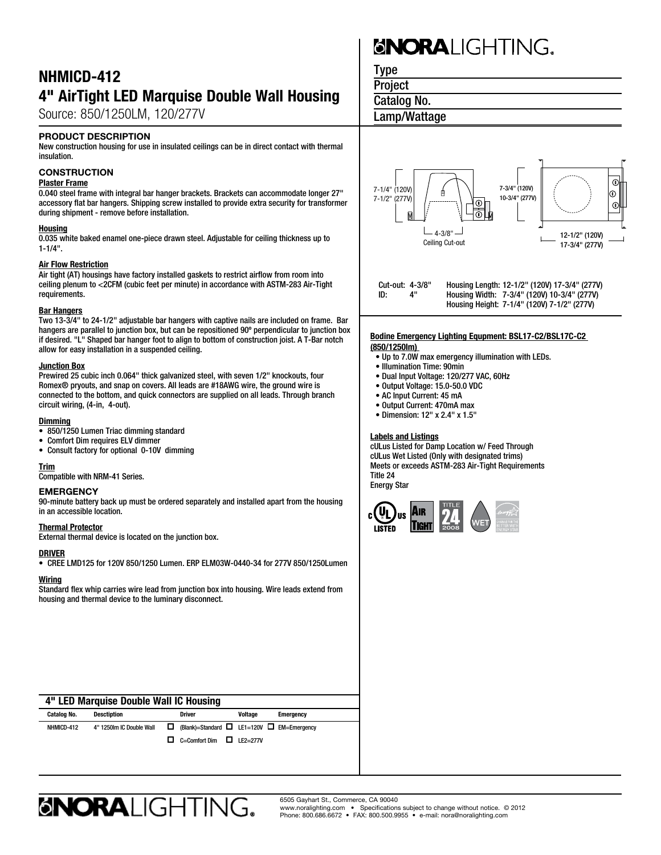# NHMICD-412 4" AirTight LED Marquise Double Wall Housing

Source: 850/1250LM, 120/277V

### PRODUCT DESCRIPTION

New construction housing for use in insulated ceilings can be in direct contact with thermal insulation.

## **CONSTRUCTION**

### Plaster Frame

0.040 steel frame with integral bar hanger brackets. Brackets can accommodate longer 27" accessory flat bar hangers. Shipping screw installed to provide extra security for transformer during shipment - remove before installation.

#### **Housing**

0.035 white baked enamel one-piece drawn steel. Adjustable for ceiling thickness up to 1-1/4".

#### Air Flow Restriction

Air tight (AT) housings have factory installed gaskets to restrict airflow from room into ceiling plenum to <2CFM (cubic feet per minute) in accordance with ASTM-283 Air-Tight requirements.

#### Bar Hangers

Two 13-3/4" to 24-1/2" adjustable bar hangers with captive nails are included on frame. Bar hangers are parallel to junction box, but can be repositioned 90º perpendicular to junction box if desired. "L" Shaped bar hanger foot to align to bottom of construction joist. A T-Bar notch allow for easy installation in a suspended ceiling.

#### **Junction Box**

Prewired 25 cubic inch 0.064" thick galvanized steel, with seven 1/2" knockouts, four Romex® pryouts, and snap on covers. All leads are #18AWG wire, the ground wire is connected to the bottom, and quick connectors are supplied on all leads. Through branch circuit wiring, (4-in, 4-out).

#### **Dimming**

- • 850/1250 Lumen Triac dimming standard
- • Comfort Dim requires ELV dimmer
- • Consult factory for optional 0-10V dimming

#### Trim

Compatible with NRM-41 Series.

#### **EMERGENCY**

90-minute battery back up must be ordered separately and installed apart from the housing in an accessible location.

#### Thermal Protector

External thermal device is located on the junction box.

#### DRIVER

• CREE LMD125 for 120V 850/1250 Lumen. ERP ELM03W-0440-34 for 277V 850/1250Lumen

#### Wiring

Standard flex whip carries wire lead from junction box into housing. Wire leads extend from housing and thermal device to the luminary disconnect.

# **SNORALIGHTING.**

Type

**Project** 

Catalog No.

## Lamp/Wattage



Cut-out: 4-3/8" Housing Length: 12-1/2" (120V) 17-3/4" (277V)

ID: 4" Housing Width: 7-3/4" (120V) 10-3/4" (277V) Housing Height: 7-1/4" (120V) 7-1/2" (277V)

#### **Bodine Emergency Lighting Equpment: BSL17-C2/BSL17C-C2 (850/1250lm)**

- Up to 7.0W max emergency illumination with LEDs.
- Illumination Time: 90min
- Dual Input Voltage: 120/277 VAC, 60Hz
- Output Voltage: 15.0-50.0 VDC
- AC Input Current: 45 mA
- Output Current: 470mA max
- Dimension: 12" x 2.4" x 1.5"

#### Labels and Listings

cULus Listed for Damp Location w/ Feed Through cULus Wet Listed (Only with designated trims) Meets or exceeds ASTM-283 Air-Tight Requirements Title 24 Energy Star





4" LED Marquise Double Wall IC Housing Catalog No. Desctiption Driver Voltage Emergency

**GNORA** IGHTING.

| valaivu nv. | DCSCHDUCH                | PHYCL                                                       | vullaut | <b>LINGRUGHUV</b> |
|-------------|--------------------------|-------------------------------------------------------------|---------|-------------------|
| NHMICD-412  | 4" 1250lm IC Double Wall | $\Box$ (Blank)=Standard $\Box$ LE1=120V $\Box$ EM=Emergency |         |                   |
|             |                          | $C=Comfort$ Dim $\Box$ LE2=277V                             |         |                   |
|             |                          |                                                             |         |                   |